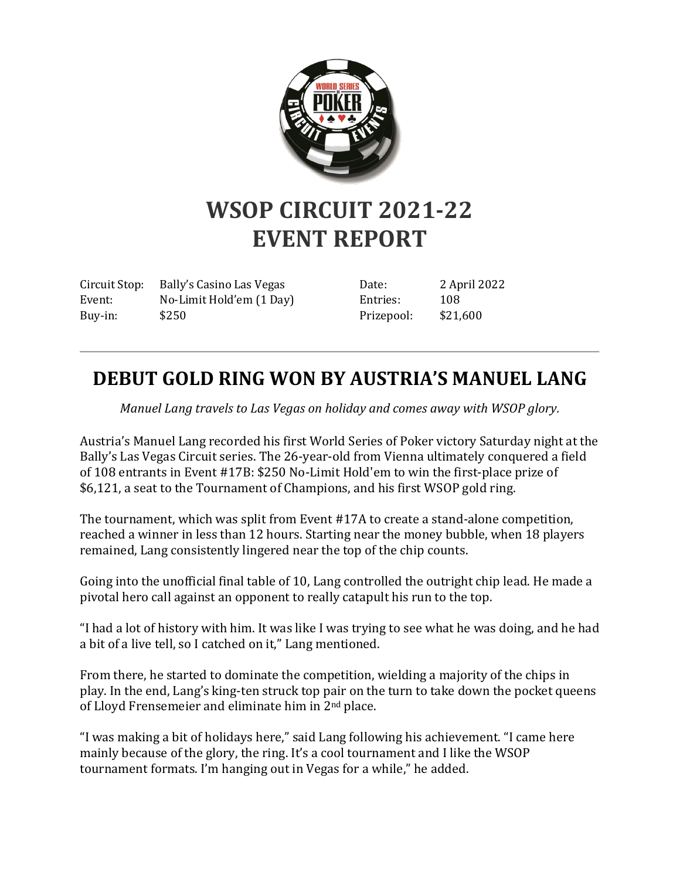

## **WSOP CIRCUIT 2021-22 EVENT REPORT**

Circuit Stop: Bally's Casino Las Vegas Event: No-Limit Hold'em (1 Day) Buy-in: \$250

Date: 2 April 2022 Entries: 108 Prizepool: \$21,600

## **DEBUT GOLD RING WON BY AUSTRIA'S MANUEL LANG**

*Manuel Lang travels to Las Vegas on holiday and comes away with WSOP glory.*

Austria's Manuel Lang recorded his first World Series of Poker victory Saturday night at the Bally's Las Vegas Circuit series. The 26-year-old from Vienna ultimately conquered a field of 108 entrants in Event #17B: \$250 No-Limit Hold'em to win the first-place prize of \$6,121, a seat to the Tournament of Champions, and his first WSOP gold ring.

The tournament, which was split from Event #17A to create a stand-alone competition, reached a winner in less than 12 hours. Starting near the money bubble, when 18 players remained, Lang consistently lingered near the top of the chip counts.

Going into the unofficial final table of 10, Lang controlled the outright chip lead. He made a pivotal hero call against an opponent to really catapult his run to the top.

"I had a lot of history with him. It was like I was trying to see what he was doing, and he had a bit of a live tell, so I catched on it," Lang mentioned.

From there, he started to dominate the competition, wielding a majority of the chips in play. In the end, Lang's king-ten struck top pair on the turn to take down the pocket queens of Lloyd Frensemeier and eliminate him in 2nd place.

"I was making a bit of holidays here," said Lang following his achievement. "I came here mainly because of the glory, the ring. It's a cool tournament and I like the WSOP tournament formats. I'm hanging out in Vegas for a while," he added.